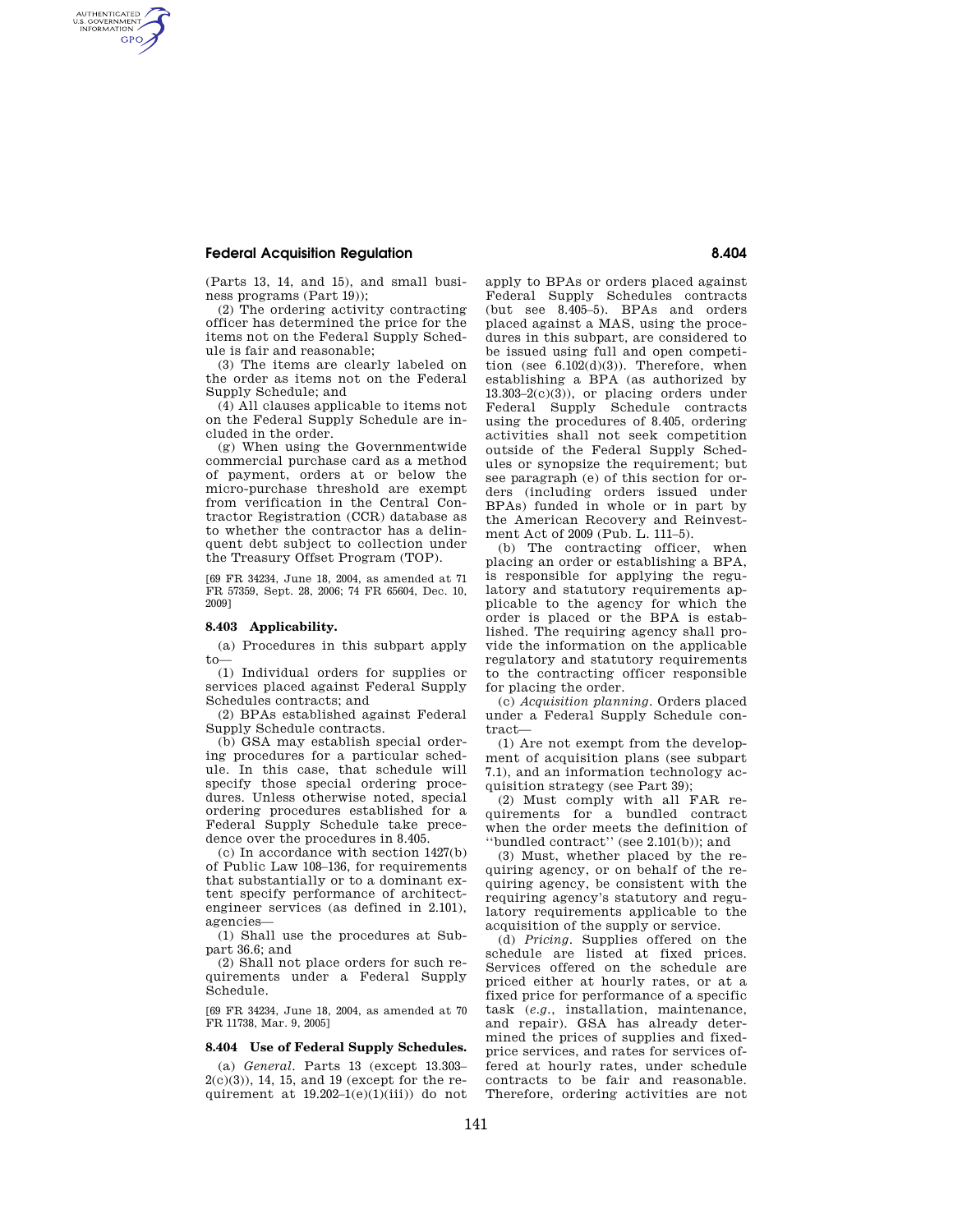## **Federal Acquisition Regulation 8.404**

AUTHENTICATED<br>U.S. GOVERNMENT<br>INFORMATION **GPO** 

> (Parts 13, 14, and 15), and small business programs (Part 19));

> (2) The ordering activity contracting officer has determined the price for the items not on the Federal Supply Schedule is fair and reasonable;

> (3) The items are clearly labeled on the order as items not on the Federal Supply Schedule; and

> (4) All clauses applicable to items not on the Federal Supply Schedule are included in the order.

> (g) When using the Governmentwide commercial purchase card as a method of payment, orders at or below the micro-purchase threshold are exempt from verification in the Central Contractor Registration (CCR) database as to whether the contractor has a delinquent debt subject to collection under the Treasury Offset Program (TOP).

> [69 FR 34234, June 18, 2004, as amended at 71 FR 57359, Sept. 28, 2006; 74 FR 65604, Dec. 10, 2009]

## **8.403 Applicability.**

(a) Procedures in this subpart apply to—

(1) Individual orders for supplies or services placed against Federal Supply Schedules contracts; and

(2) BPAs established against Federal Supply Schedule contracts.

(b) GSA may establish special ordering procedures for a particular schedule. In this case, that schedule will specify those special ordering procedures. Unless otherwise noted, special ordering procedures established for a Federal Supply Schedule take precedence over the procedures in 8.405.

(c) In accordance with section 1427(b) of Public Law 108–136, for requirements that substantially or to a dominant extent specify performance of architectengineer services (as defined in 2.101), agencies—

(1) Shall use the procedures at Subpart 36.6; and

(2) Shall not place orders for such requirements under a Federal Supply Schedule.

[69 FR 34234, June 18, 2004, as amended at 70 FR 11738, Mar. 9, 2005]

## **8.404 Use of Federal Supply Schedules.**

(a) *General*. Parts 13 (except 13.303– 2(c)(3)), 14, 15, and 19 (except for the requirement at  $19.202-1(e)(1)(iii)$  do not apply to BPAs or orders placed against Federal Supply Schedules contracts (but see 8.405–5). BPAs and orders placed against a MAS, using the procedures in this subpart, are considered to be issued using full and open competition (see  $6.102(d)(3)$ ). Therefore, when establishing a BPA (as authorized by  $13.303-2(c)(3)$ , or placing orders under Federal Supply Schedule contracts using the procedures of 8.405, ordering activities shall not seek competition outside of the Federal Supply Schedules or synopsize the requirement; but see paragraph (e) of this section for orders (including orders issued under BPAs) funded in whole or in part by the American Recovery and Reinvestment Act of 2009 (Pub. L. 111–5).

(b) The contracting officer, when placing an order or establishing a BPA, is responsible for applying the regulatory and statutory requirements applicable to the agency for which the order is placed or the BPA is established. The requiring agency shall provide the information on the applicable regulatory and statutory requirements to the contracting officer responsible for placing the order.

(c) *Acquisition planning*. Orders placed under a Federal Supply Schedule contract—

(1) Are not exempt from the development of acquisition plans (see subpart 7.1), and an information technology acquisition strategy (see Part 39);

(2) Must comply with all FAR requirements for a bundled contract when the order meets the definition of ''bundled contract'' (see 2.101(b)); and

(3) Must, whether placed by the requiring agency, or on behalf of the requiring agency, be consistent with the requiring agency's statutory and regulatory requirements applicable to the acquisition of the supply or service.

(d) *Pricing*. Supplies offered on the schedule are listed at fixed prices. Services offered on the schedule are priced either at hourly rates, or at a fixed price for performance of a specific task (*e.g.*, installation, maintenance, and repair). GSA has already determined the prices of supplies and fixedprice services, and rates for services offered at hourly rates, under schedule contracts to be fair and reasonable. Therefore, ordering activities are not